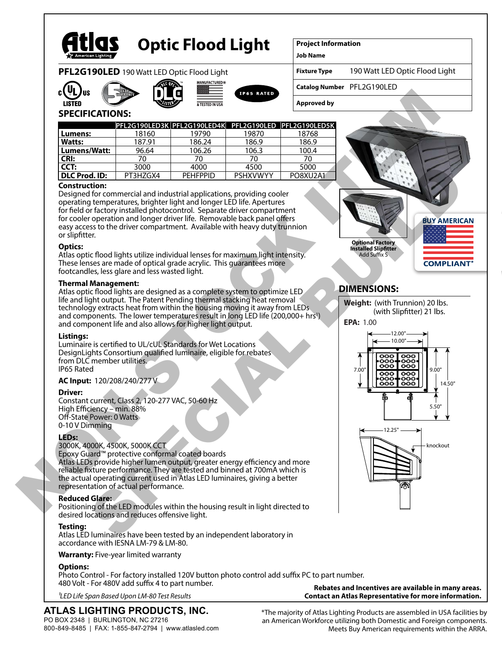

# **Optic Flood Light**

**Project Information**

**Job Name Fixture Type**

**PFL2G190LED** 190 Watt LED Optic Flood Light









# **Catalog Number** PFL2G190LED

**Approved by**

## **SPECIFICATIONS:**

|                | PFL2G190LED3K PFL2G190LED4K PFL2G190LED PFL2G190LED5K |                 |                 |          |
|----------------|-------------------------------------------------------|-----------------|-----------------|----------|
| Lumens:        | 18160                                                 | 19790           | 19870           | 18768    |
| <b>Watts:</b>  | 187.91                                                | 186.24          | 186.9           | 186.9    |
| l Lumens/Watt: | 96.64                                                 | 106.26          | 106.3           | 100.4    |
| l CRI:         | 70                                                    | 70              | 70              | 70       |
| l CCT:         | 3000                                                  | 4000            | 4500            | 5000     |
| DLC Prod. ID:  | PT3HZGX4                                              | <b>PFHFPPID</b> | <b>PSHXVWYY</b> | PO8XU2A1 |

#### **Construction:**

Designed for commercial and industrial applications, providing cooler operating temperatures, brighter light and longer LED life. Apertures for field or factory installed photocontrol. Separate driver compartment for cooler operation and longer driver life. Removable back panel offers easy access to the driver compartment. Available with heavy duty trunnion or sliptter.

#### **Optics:**

Atlas optic flood lights utilize individual lenses for maximum light intensity. These lenses are made of optical grade acrylic. This guarantees more footcandles, less glare and less wasted light.

#### **Thermal Management:**

Atlas optic flood lights are designed as a complete system to optimize LED life and light output. The Patent Pending thermal stacking heat removal technology extracts heat from within the housing moving it away from LEDs and components. The lower temperatures result in long LED life (200,000+ hrs1 ) and component life and also allows for higher light output.

#### **Listings:**

Luminaire is certified to UL/cUL Standards for Wet Locations DesignLights Consortium qualified luminaire, eligible for rebates from DLC member utilities. IP65 Rated

#### **AC Input:** 120/208/240/277 V

#### **Driver:**

Constant current, Class 2, 120-277 VAC, 50-60 Hz High Efficiency – min. 88% Off-State Power: 0 Watts 0-10 V Dimming

#### **LEDs:**

#### 3000K, 4000K, 4500K, 5000K CCT

Epoxy Guard™ protective conformal coated boards Atlas LEDs provide higher lumen output, greater energy efficiency and more reliable fixture performance. They are tested and binned at 700mA which is the actual operating current used in Atlas LED luminaires, giving a better representation of actual performance.

#### **Reduced Glare:**

Positioning of the LED modules within the housing result in light directed to desired locations and reduces offensive light.

#### **Testing:**

Atlas LED luminaires have been tested by an independent laboratory in accordance with IESNA LM-79 & LM-80.

#### **Warranty:** Five-year limited warranty

#### **Options:**

Photo Control - For factory installed 120V button photo control add suffix PC to part number. 480 Volt - For 480V add suffix 4 to part number.

*1LED Life Span Based Upon LM-80 Test Results*

# **ATLAS LIGHTING PRODUCTS, INC.**

PO BOX 2348 | BURLINGTON, NC 27216 800-849-8485 | FAX: 1-855-847-2794 | www.atlasled.com

**Rebates and Incentives are available in many areas. Contact an Atlas Representative for more information.**



190 Watt LED Optic Flood Light

### **DIMENSIONS:**



\*The majority of Atlas Lighting Products are assembled in USA facilities by an American Workforce utilizing both Domestic and Foreign components. Meets Buy American requirements within the ARRA.